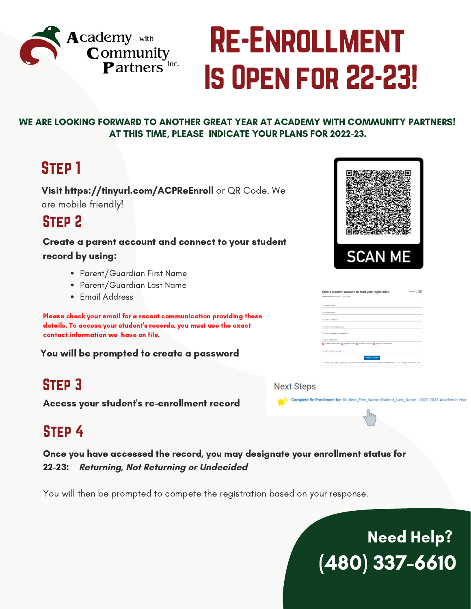

# Is Open for 22-23! Re-Enrollment

#### WE ARE LOOKING FORWARD TO ANOTHER GREAT YEAR AT ACADEMY WITH COMMUNITY PARTNERS! AT THIS TIME, PLEASE INDICATE YOUR PLANS FOR 2022-23.

## Step 1

Visit https://tinyurl.com/ACPReEnroll or QR Code. We are mobile friendly!

## Step 2

Create a parent account and connect to your student record by using:

- Parent/Guardian First Name
- Parent/Guardian Last Name
- Email Address

Please check your email for a recent communication providing these details. To access your student's records, you must use the exact contact information we have on file.

You will be prompted to create a password

## Step 3

Access your student's re-enrollment record

## Step 4

Once you have accessed the record, you may designate your enrollment status for 22-23: **Returning, Not Returning or Undecided**

You will then be prompted to compete the registration based on your response.





|                                       | Create a parent account to start your registration.                                                                             | Departure of |
|---------------------------------------|---------------------------------------------------------------------------------------------------------------------------------|--------------|
| Already have an account? Log in here. |                                                                                                                                 |              |
| <b>TYpe First Name</b>                |                                                                                                                                 |              |
| *Your Leat Name                       |                                                                                                                                 |              |
| "Your Email Address                   |                                                                                                                                 |              |
| *Confirm Your Email Address           |                                                                                                                                 |              |
| 16 I do not have an amail address.    |                                                                                                                                 |              |
| <sup>4</sup> Craste a Password        |                                                                                                                                 |              |
|                                       | Air least Echanones & in least 1 letter & in least 1 number & Menhas conformation                                               |              |
| <sup>1</sup> Cordom Your Password     |                                                                                                                                 |              |
|                                       | <b>Create Account</b>                                                                                                           |              |
|                                       | For help with student registration, please contact the Enrolment Team at (388) 874-9680 or email os at enrold(accelechools.com) |              |

Complete Re-Enrollment for: Student\_First\_Name Student\_Last\_Name - 2022-2023 Acade